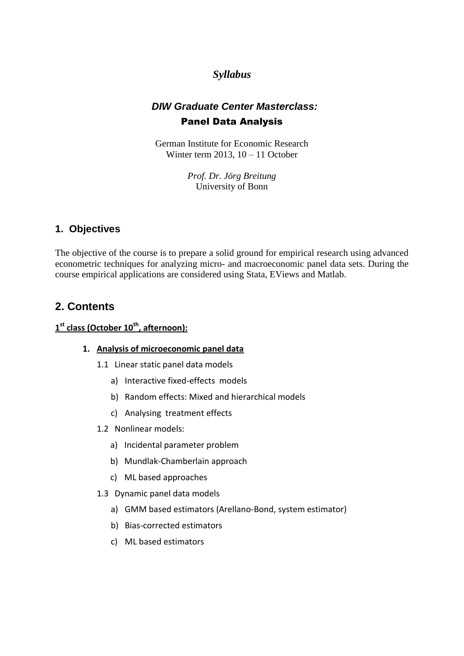# *Syllabus*

# *DIW Graduate Center Masterclass:* Panel Data Analysis

German Institute for Economic Research Winter term 2013,  $10 - 11$  October

> *Prof. Dr. Jörg Breitung* University of Bonn

### **1. Objectives**

The objective of the course is to prepare a solid ground for empirical research using advanced econometric techniques for analyzing micro- and macroeconomic panel data sets. During the course empirical applications are considered using Stata, EViews and Matlab.

# **2. Contents**

### **1 st class (October 10th, afternoon):**

#### **1. Analysis of microeconomic panel data**

- 1.1 Linear static panel data models
	- a) Interactive fixed-effects models
	- b) Random effects: Mixed and hierarchical models
	- c) Analysing treatment effects
- 1.2 Nonlinear models:
	- a) Incidental parameter problem
	- b) Mundlak-Chamberlain approach
	- c) ML based approaches
- 1.3 Dynamic panel data models
	- a) GMM based estimators (Arellano-Bond, system estimator)
	- b) Bias-corrected estimators
	- c) ML based estimators